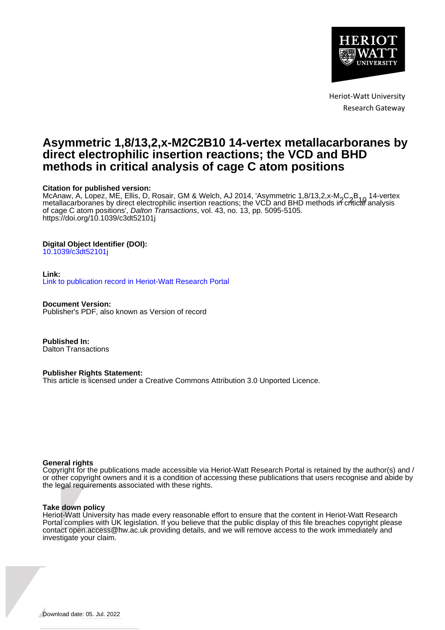

Heriot-Watt University Research Gateway

## **Asymmetric 1,8/13,2,x-M2C2B10 14-vertex metallacarboranes by direct electrophilic insertion reactions; the VCD and BHD methods in critical analysis of cage C atom positions**

#### **Citation for published version:**

McAnaw, A, Lopez, ME, Ellis, D, Rosair, GM & Welch, AJ 2014, 'Asymmetric 1,8/13,2,x-M<sub>2</sub>C<sub>2</sub>B<sub>40</sub> 14-vertex<br>metallacarboranes by direct electrophilic insertion reactions; the VCD and BHD methods in critical analysis of cage C atom positions', Dalton Transactions, vol. 43, no. 13, pp. 5095-5105. <https://doi.org/10.1039/c3dt52101j>

#### **Digital Object Identifier (DOI):**

[10.1039/c3dt52101j](https://doi.org/10.1039/c3dt52101j)

#### **Link:**

[Link to publication record in Heriot-Watt Research Portal](https://researchportal.hw.ac.uk/en/publications/d22a2dc6-75d5-4b41-8394-8bcd49f216a3)

**Document Version:** Publisher's PDF, also known as Version of record

**Published In:** Dalton Transactions

#### **Publisher Rights Statement:**

This article is licensed under a Creative Commons Attribution 3.0 Unported Licence.

#### **General rights**

Copyright for the publications made accessible via Heriot-Watt Research Portal is retained by the author(s) and / or other copyright owners and it is a condition of accessing these publications that users recognise and abide by the legal requirements associated with these rights.

#### **Take down policy**

Heriot-Watt University has made every reasonable effort to ensure that the content in Heriot-Watt Research Portal complies with UK legislation. If you believe that the public display of this file breaches copyright please contact open.access@hw.ac.uk providing details, and we will remove access to the work immediately and investigate your claim.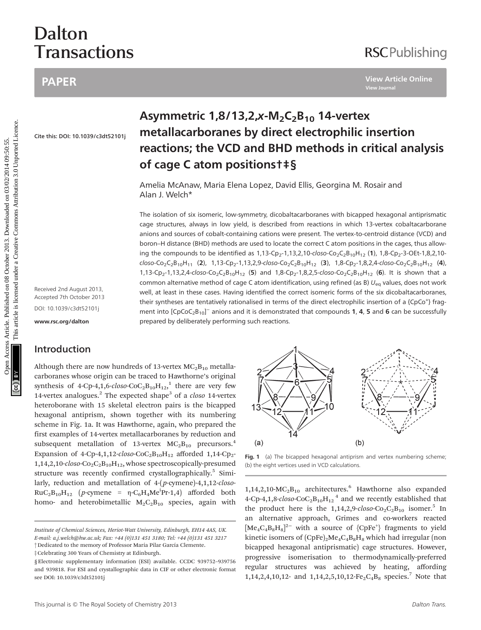# Dalton **Transactions**

### PAPER

## **RSCPublishing**

Cite this: DOI: 10.1039/c3dt52101j

Received 2nd August 2013, Accepted 7th October 2013 DOI: 10.1039/c3dt52101j

<www.rsc.org/dalton>

#### Introduction

Although there are now hundreds of 13-vertex  $MC_2B_{10}$  metallacarboranes whose origin can be traced to Hawthorne's original synthesis of 4-Cp-4,1,6- $\text{closo}\text{-}\text{CoC}_2\text{B}_{10}\text{H}_{12}$ ,<sup>1</sup> there are very few 14-vertex analogues. $^2$  The expected shape<sup>3</sup> of a *closo* 14-vertex heteroborane with 15 skeletal electron pairs is the bicapped hexagonal antiprism, shown together with its numbering scheme in Fig. 1a. It was Hawthorne, again, who prepared the first examples of 14-vertex metallacarboranes by reduction and subsequent metallation of 13-vertex  $MC_2B_{10}$  precursors.<sup>4</sup> Expansion of 4-Cp-4,1,12-closo-CoC<sub>2</sub>B<sub>10</sub>H<sub>12</sub> afforded 1,14-Cp<sub>2</sub>- $1,14,2,10$ -closo-Co<sub>2</sub>C<sub>2</sub>B<sub>10</sub>H<sub>12</sub>, whose spectroscopically-presumed structure was recently confirmed crystallographically.<sup>5</sup> Similarly, reduction and metallation of 4-(p-cymene)-4,1,12-closo- $RuC_2B_{10}H_{12}$  (*p*-cymene = η-C<sub>6</sub>H<sub>4</sub>Me<sup>i</sup>Pr-1,4) afforded both homo- and heterobimetallic  $M_2C_2B_{10}$  species, again with

# metallacarboranes by direct electrophilic insertion reactions; the VCD and BHD methods in critical analysis of cage C atom positions†‡§

Amelia McAnaw, Maria Elena Lopez, David Ellis, Georgina M. Rosair and Alan J. Welch\*

Asymmetric  $1,8/13,2,x-M<sub>2</sub>C<sub>2</sub>B<sub>10</sub>$  14-vertex

The isolation of six isomeric, low-symmetry, dicobaltacarboranes with bicapped hexagonal antiprismatic cage structures, always in low yield, is described from reactions in which 13-vertex cobaltacarborane anions and sources of cobalt-containing cations were present. The vertex-to-centroid distance (VCD) and boron–H distance (BHD) methods are used to locate the correct C atom positions in the cages, thus allowing the compounds to be identified as  $1,13$ -Cp<sub>2</sub>-1,13,2,10-closo-Co<sub>2</sub>C<sub>2</sub>B<sub>10</sub>H<sub>12</sub> (1), 1,8-Cp<sub>2</sub>-3-OEt-1,8,2,10 $c$ loso-Co<sub>2</sub>C<sub>2</sub>B<sub>10</sub>H<sub>11</sub> (2), 1,13-Cp<sub>2</sub>-1,13,2,9-closo-Co<sub>2</sub>C<sub>2</sub>B<sub>10</sub>H<sub>12</sub> (3), 1,8-Cp<sub>2</sub>-1,8,2,4-closo-Co<sub>2</sub>C<sub>2</sub>B<sub>10</sub>H<sub>12</sub> (4), 1,13-Cp<sub>2</sub>-1,13,2,4-closo-Co<sub>2</sub>C<sub>2</sub>B<sub>10</sub>H<sub>12</sub> (5) and 1,8-Cp<sub>2</sub>-1,8,2,5-closo-Co<sub>2</sub>C<sub>2</sub>B<sub>10</sub>H<sub>12</sub> (6). It is shown that a common alternative method of cage C atom identification, using refined (as B)  $U_{eq}$  values, does not work well, at least in these cases. Having identified the correct isomeric forms of the six dicobaltacarboranes, their syntheses are tentatively rationalised in terms of the direct electrophilic insertion of a {CpCo<sup>+</sup>} fragment into  $[CpCoC<sub>2</sub>B<sub>10</sub>]<sup>-</sup>$  anions and it is demonstrated that compounds 1, 4, 5 and 6 can be successfully prepared by deliberately performing such reactions. **PAPER**<br> **Exercise Article Online**<br> **Cremis: DOC: tax tossicalisation reactions; the VCD and BHD methods in critical analysis<br>**  $\sigma$  **Cage C atom positions + 5<br>
Amelia McAnaw, Maria Elena Lopez, David Ellis, Georgina M. Ros** 



Fig. 1 (a) The bicapped hexagonal antiprism and vertex numbering scheme; (b) the eight vertices used in VCD calculations.

 $1,14,2,10$ -MC<sub>2</sub>B<sub>10</sub> architectures.<sup>6</sup> Hawthorne also expanded 4-Cp-4,1,8- $\text{closo-CoC}_2\text{B}_{10}\text{H}_{12}$ <sup>4</sup> and we recently established that the product here is the  $1,14,2,9$ -closo-Co<sub>2</sub>C<sub>2</sub>B<sub>10</sub> isomer.<sup>5</sup> In an alternative approach, Grimes and co-workers reacted  $[Me<sub>4</sub>C<sub>4</sub>B<sub>8</sub>H<sub>8</sub>]<sup>2-</sup>$  with a source of  ${CpFe<sup>+</sup>}$  fragments to yield kinetic isomers of  $(CpFe)_2Me_4C_4B_8H_8$  which had irregular (non bicapped hexagonal antiprismatic) cage structures. However, progressive isomerisation to thermodynamically-preferred regular structures was achieved by heating, affording 1,14,2,4,10,12- and 1,14,2,5,10,12-Fe<sub>2</sub>C<sub>4</sub>B<sub>8</sub> species.<sup>7</sup> Note that

<sup>†</sup>Dedicated to the memory of Professor María Pilar García Clemente. ‡Celebrating 300 Years of Chemistry at Edinburgh. Institute of Chemical Sciences, Heriot-Watt University, Edinburgh, EH14 4AS, UK. E-mail: a.j.welch@hw.ac.uk; Fax: +44 (0)131 451 3180; Tel: +44 (0)131 451 3217

<sup>§</sup> Electronic supplementary information (ESI) available. CCDC 939752–939756 and 939818. For ESI and crystallographic data in CIF or other electronic format see DOI: 10.1039/c3dt52101j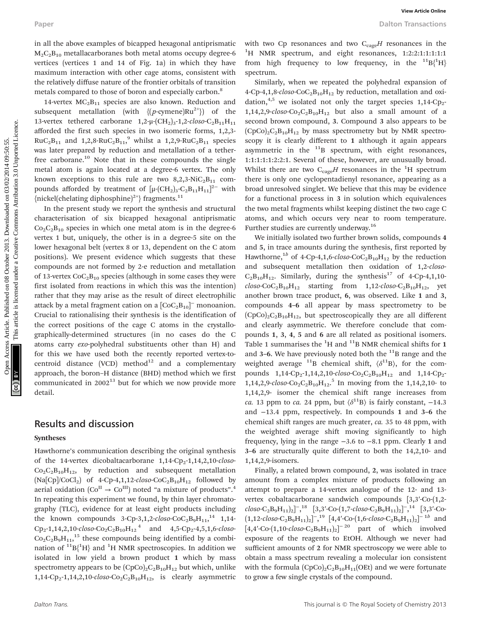in all the above examples of bicapped hexagonal antiprismatic  $M_2C_2B_{10}$  metallacarboranes both metal atoms occupy degree-6 vertices (vertices 1 and 14 of Fig. 1a) in which they have maximum interaction with other cage atoms, consistent with the relatively diffuse nature of the frontier orbitals of transition metals compared to those of boron and especially carbon.<sup>8</sup>

14-vertex  $MC<sub>2</sub>B<sub>11</sub>$  species are also known. Reduction and subsequent metallation (with  $\{(p\text{-symene})Ru^{2+}\}\)$  of the 13-vertex tethered carborane  $1,2-\mu$ - $\text{CH}_2$ )<sub>3</sub>-1,2-*closo*-C<sub>2</sub>B<sub>11</sub>H<sub>11</sub> afforded the first such species in two isomeric forms, 1,2,3-  $RuC_2B_{11}$  and  $1,2,8-RuC_2B_{11}$ , whilst a  $1,2,9-RuC_2B_{11}$  species was later prepared by reduction and metallation of a tetherfree carborane.<sup>10</sup> Note that in these compounds the single metal atom is again located at a degree-6 vertex. The only known exceptions to this rule are two  $8,2,3-NiC_2B_{11}$  compounds afforded by treatment of  $[\mu$ - $(\text{CH}_2)_3$ - $\text{C}_2\text{B}_{11}\text{H}_{11}]^2$  with {nickel(chelating diphosphine)<sup>2+</sup>} fragments.<sup>11</sup>

In the present study we report the synthesis and structural characterisation of six bicapped hexagonal antiprismatic  $Co<sub>2</sub>C<sub>2</sub>B<sub>10</sub>$  species in which one metal atom is in the degree-6 vertex 1 but, uniquely, the other is in a degree-5 site on the lower hexagonal belt (vertex 8 or 13, dependent on the C atom positions). We present evidence which suggests that these compounds are not formed by 2-e reduction and metallation of 13-vertex  $CoC<sub>2</sub>B<sub>10</sub>$  species (although in some cases they were first isolated from reactions in which this was the intention) rather that they may arise as the result of direct electrophilic attack by a metal fragment cation on a  $[\text{CoC}_2\text{B}_{10}]^-$  monoanion. Crucial to rationalising their synthesis is the identification of the correct positions of the cage C atoms in the crystallographically-determined structures (in no cases do the C atoms carry exo-polyhedral substituents other than H) and for this we have used both the recently reported vertex-tocentroid distance (VCD) method $^{12}$  and a complementary approach, the boron–H distance (BHD) method which we first communicated in  $2002^{13}$  but for which we now provide more detail. Paper Matthewsite Computer of Nicensed on Distribution and Common Distribution ( $V_{\text{C}}$ , Puer Hamilton Computer Common Distribution (2013) ( $V_{\text{C}}$ , Puer Hamilton Common Distribution 2013) ( $V_{\text{C}}$ ) ( $V_{\text{C}}$ ) ( $V_{$ 

#### Results and discussion

#### Syntheses

Hawthorne's communication describing the original synthesis of the 14-vertex dicobaltacarborane  $1,14$ -Cp<sub>2</sub>-1,14,2,10-closo- $Co_2C_2B_{10}H_{12}$ , by reduction and subsequent metallation  $(Na[CP]/CoCl<sub>2</sub>)$  of 4-Cp-4,1,12-closo-CoC<sub>2</sub>B<sub>10</sub>H<sub>12</sub> followed by aerial oxidation  $(\mathrm{Co}^\mathrm{II} \to \mathrm{Co}^\mathrm{III})$  noted "a mixture of products".<sup>4</sup> In repeating this experiment we found, by thin layer chromatography (TLC), evidence for at least eight products including the known compounds 3-Cp-3,1,2- $\textit{closo}\text{-}\text{CoC}_2\text{B}_9\text{H}_{11}$ ,<sup>14</sup> 1,14- $\text{Cp}_2$ -1,14,2,10-closo- $\text{Co}_2\text{C}_2\text{B}_{10}\text{H}_{12}$ <sup>4</sup> and 4,5-Cp<sub>2</sub>-4,5,1,6-closo- $Co_2C_2B_9H_{11}$ ,<sup>15</sup> these compounds being identified by a combination of  $^{11}B(^{1}H)$  and  $^{1}H$  NMR spectroscopies. In addition we isolated in low yield a brown product 1 which by mass spectrometry appears to be  $(CpCo)<sub>2</sub>C<sub>2</sub>B<sub>10</sub>H<sub>12</sub>$  but which, unlike  $1,14$ -Cp<sub>2</sub>-1,14,2,10-*closo-*Co<sub>2</sub>C<sub>2</sub>B<sub>10</sub>H<sub>12</sub>, is clearly asymmetric with two Cp resonances and two  $C_{cage}H$  resonances in the <sup>1</sup>H NMR spectrum, and eight resonances, 1:2:2:1:1:1:1:1 from high frequency to low frequency, in the  $^{11}B(^{1}H)$ spectrum.

Similarly, when we repeated the polyhedral expansion of 4-Cp-4,1,8-closo-CoC<sub>2</sub>B<sub>10</sub>H<sub>12</sub> by reduction, metallation and oxidation, $4.5$  we isolated not only the target species  $1,14$ -Cp<sub>2</sub>- $1,14,2,9$ -closo-Co<sub>2</sub>C<sub>2</sub>B<sub>10</sub>H<sub>12</sub> but also a small amount of a second brown compound, 3. Compound 3 also appears to be  $(CpCo)<sub>2</sub>C<sub>2</sub>B<sub>10</sub>H<sub>12</sub>$  by mass spectrometry but by NMR spectroscopy it is clearly different to 1 although it again appears asymmetric in the  $11B$  spectrum, with eight resonances, 1:1:1:1:1:2:2:1. Several of these, however, are unusually broad. Whilst there are two  $\mathrm{C}_{\mathrm{cage}}H$  resonances in the  $^1\mathrm{H}$  spectrum there is only one cyclopentadienyl resonance, appearing as a broad unresolved singlet. We believe that this may be evidence for a functional process in 3 in solution which equivalences the two metal fragments whilst keeping distinct the two cage C atoms, and which occurs very near to room temperature. Further studies are currently underway.<sup>16</sup>

We initially isolated two further brown solids, compounds 4 and 5, in trace amounts during the synthesis, first reported by Hawthorne,<sup>1b</sup> of 4-Cp-4,1,6-closo-CoC<sub>2</sub>B<sub>10</sub>H<sub>12</sub> by the reduction and subsequent metallation then oxidation of 1,2-closo- $C_2B_{10}H_{12}$ . Similarly, during the synthesis<sup>17</sup> of 4-Cp-4,1,10- $\text{closo-CoC}_2\text{B}_{10}\text{H}_{12}$  starting from 1,12- $\text{closo-C}_2\text{B}_{10}\text{H}_{12}$ , yet another brown trace product, 6, was observed. Like 1 and 3, compounds 4–6 all appear by mass spectrometry to be  $(CpCo)<sub>2</sub>C<sub>2</sub>B<sub>10</sub>H<sub>12</sub>$ , but spectroscopically they are all different and clearly asymmetric. We therefore conclude that compounds 1, 3, 4, 5 and 6 are all related as positional isomers. Table 1 summarises the  ${}^{1}H$  and  ${}^{11}B$  NMR chemical shifts for 1 and 3–6. We have previously noted both the  $^{11}$ B range and the weighted average <sup>11</sup>B chemical shift,  $\langle \delta^{11}B \rangle$ , for the compounds  $1,14$ -Cp<sub>2</sub>-1,14,2,10-closo-Co<sub>2</sub>C<sub>2</sub>B<sub>10</sub>H<sub>12</sub> and  $1,14$ -Cp<sub>2</sub>-1,14,2,9-closo-Co<sub>2</sub>C<sub>2</sub>B<sub>10</sub>H<sub>12</sub>.<sup>5</sup> In moving from the 1,14,2,10-to 1,14,2,9- isomer the chemical shift range increases from ca. 13 ppm to ca. 24 ppm, but  $\langle \delta^{11}B \rangle$  is fairly constant, -14.3 and −13.4 ppm, respectively. In compounds 1 and 3–6 the chemical shift ranges are much greater, ca. 35 to 48 ppm, with the weighted average shift moving significantly to high frequency, lying in the range −3.6 to −8.1 ppm. Clearly 1 and 3–6 are structurally quite different to both the 14,2,10- and 1,14,2,9-isomers.

Finally, a related brown compound, 2, was isolated in trace amount from a complex mixture of products following an attempt to prepare a 14-vertex analogue of the 12- and 13 vertex cobaltacarborane sandwich compounds [3,3′-Co-(1,2 closo-C<sub>2</sub>B<sub>9</sub>H<sub>11</sub>)<sub>2</sub>]<sup>-</sup>,<sup>18</sup> [3,3'-Co-(1,7-closo-C<sub>2</sub>B<sub>9</sub>H<sub>11</sub>)<sub>2</sub>]<sup>-</sup>,<sup>14</sup> [3,3'-Co- $(1, 12 \text{-} \text{closo-C}_2 B_9 H_{11})_2$ ]<sup>-</sup>,<sup>19</sup> [4,4′-Co-(1,6-closo-C<sub>2</sub>B<sub>9</sub>H<sub>11</sub>)<sub>2</sub>]<sup>-1b</sup> and  $\left[4,4'\text{-Co-}(1,10\text{-}closo\text{-}C_2B_9H_{11})_2\right]^{-20}$  part of which involved exposure of the reagents to EtOH. Although we never had sufficient amounts of 2 for NMR spectroscopy we were able to obtain a mass spectrum revealing a molecular ion consistent with the formula  $(CpCo)_2C_2B_{10}H_{11}(OEt)$  and we were fortunate to grow a few single crystals of the compound.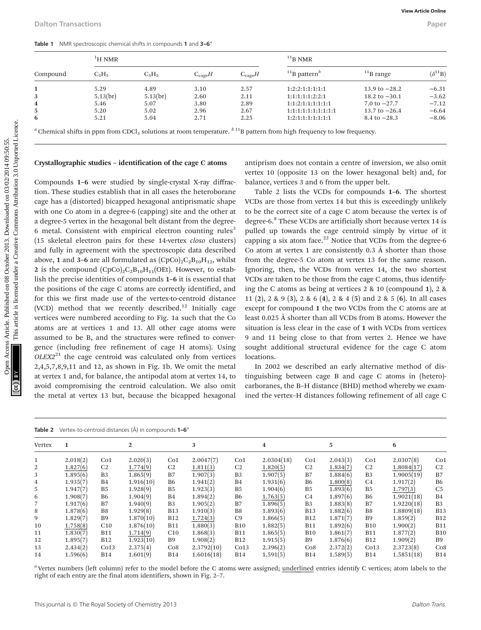| Compound | $\rm ^1H$ NMR |          |                    | $11$ <sub>B</sub> NMR |                                        |                         |                                |  |
|----------|---------------|----------|--------------------|-----------------------|----------------------------------------|-------------------------|--------------------------------|--|
|          | $C_5H_5$      | $C_5H_5$ | $C_{\text{cave}}H$ | $C_{\text{cage}}H$    | $11$ <sub>B</sub> pattern <sup>b</sup> | $11$ <sub>B</sub> range | $\langle \delta^{11}B \rangle$ |  |
|          | 5.29          | 4.89     | 3.10               | 2.57                  | 1:2:2:1:1:1:1:1                        | 13.9 to $-28.2$         | $-6.31$                        |  |
| 3        | 5.13(br)      | 5.13(br) | 2.60               | 2.11                  | 1:1:1:1:1:2:2:1                        | 18.2 to $-30.1$         | $-3.62$                        |  |
| 4        | 5.46          | 5.07     | 3.80               | 2.89                  | 1:1:2:1:1:1:1:1:1                      | 7.0 to $-27.7$          | $-7.12$                        |  |
| 5        | 5.20          | 5.02     | 2.96               | 2.67                  | 1:1:1:1:1:1:1:1:1:1:1                  | 13.7 to $-26.4$         | $-6.64$                        |  |
| 6        | 5.21          | 5.04     | 2.71               | 2.25                  | 1:2:1:1:1:1:1:1:1                      | 8.4 to $-28.3$          | $-8.06$                        |  |

<sup>*a*</sup> Chemical shifts in ppm from CDCl<sub>3</sub> solutions at room temperature.  $b^{11}B$  pattern from high frequency to low frequency.

#### Crystallographic studies – identification of the cage C atoms

Compounds 1–6 were studied by single-crystal X-ray diffraction. These studies establish that in all cases the heteroborane cage has a (distorted) bicapped hexagonal antiprismatic shape with one Co atom in a degree-6 (capping) site and the other at a degree-5 vertex in the hexagonal belt distant from the degree-6 metal. Consistent with empirical electron counting rules<sup>3</sup> (15 skeletal electron pairs for these 14-vertex closo clusters) and fully in agreement with the spectroscopic data described above, 1 and 3–6 are all formulated as  $(CpCo)_2C_2B_{10}H_{12}$ , whilst 2 is the compound  $(CpCo)_2C_2B_{10}H_{11}(OE)$ . However, to establish the precise identities of compounds 1–6 it is essential that the positions of the cage C atoms are correctly identified, and for this we first made use of the vertex-to-centroid distance (VCD) method that we recently described.<sup>12</sup> Initially cage vertices were numbered according to Fig. 1a such that the Co atoms are at vertices 1 and 13. All other cage atoms were assumed to be B, and the structures were refined to convergence (including free refinement of cage H atoms). Using  $OLEX2<sup>21</sup>$  the cage centroid was calculated only from vertices 2,4,5,7,8,9,11 and 12, as shown in Fig. 1b. We omit the metal at vertex 1 and, for balance, the antipodal atom at vertex 14, to avoid compromising the centroid calculation. We also omit the metal at vertex 13 but, because the bicapped hexagonal Control in the compound of the compound in the compound of the compound of the compound of the compound of the compound of the compound of the compound of the compound of the compound of the compound of the compound of th

antiprism does not contain a centre of inversion, we also omit vertex 10 (opposite 13 on the lower hexagonal belt) and, for balance, vertices 3 and 6 from the upper belt.

Table 2 lists the VCDs for compounds 1–6. The shortest VCDs are those from vertex 14 but this is exceedingly unlikely to be the correct site of a cage C atom because the vertex is of degree-6.<sup>8</sup> These VCDs are artificially short because vertex 14 is pulled up towards the cage centroid simply by virtue of it capping a six atom face. $22$  Notice that VCDs from the degree-6 Co atom at vertex 1 are consistently  $0.3 \text{ Å}$  shorter than those from the degree-5 Co atom at vertex 13 for the same reason. Ignoring, then, the VCDs from vertex 14, the two shortest VCDs are taken to be those from the cage C atoms, thus identifying the C atoms as being at vertices 2 & 10 (compound 1), 2 & 11 (2), 2 & 9 (3), 2 & 6 (4), 2 & 4 (5) and 2 & 5 (6). In all cases except for compound 1 the two VCDs from the C atoms are at least 0.025 Å shorter than all VCDs from B atoms. However the situation is less clear in the case of 1 with VCDs from vertices 9 and 11 being close to that from vertex 2. Hence we have sought additional structural evidence for the cage C atom locations.

In 2002 we described an early alternative method of distinguishing between cage B and cage C atoms in (hetero) carboranes, the B–H distance (BHD) method whereby we examined the vertex–H distances following refinement of all cage C

|  | Table 2 Vertex-to-centroid distances (Å) in compounds 1-6 <sup>a</sup> |  |  |  |  |
|--|------------------------------------------------------------------------|--|--|--|--|
|--|------------------------------------------------------------------------|--|--|--|--|

| iuwit 4 |          |                 | $\mathbf{v}$ is a normal component to component the component of $\mathbf{v}$ |                 |            |                 |            |                 |          |                 |            |                 |
|---------|----------|-----------------|-------------------------------------------------------------------------------|-----------------|------------|-----------------|------------|-----------------|----------|-----------------|------------|-----------------|
| Vertex  |          |                 | 2                                                                             |                 | 3          |                 | 4          |                 | 5        |                 | 6          |                 |
|         | 2.018(2) | Co <sub>1</sub> | 2.020(3)                                                                      | Co <sub>1</sub> | 2.0047(7)  | Co <sub>1</sub> | 2.0304(18) | Co <sub>1</sub> | 2.043(3) | Co <sub>1</sub> | 2.0307(8)  | Co <sub>1</sub> |
| 2       | 1.827(6) | C <sub>2</sub>  | 1.774(9)                                                                      | C <sub>2</sub>  | 1.811(3)   | C <sub>2</sub>  | 1.820(5)   | C <sub>2</sub>  | 1.834(7) | C <sub>2</sub>  | 1.8084(17) | C <sub>2</sub>  |
|         | 1.895(6) | B <sub>3</sub>  | 1.865(9)                                                                      | B7              | 1.907(3)   | B <sub>3</sub>  | 1.907(5)   | B7              | 1.884(6) | B <sub>3</sub>  | 1.9005(19) | B7              |
| 4       | 1.935(7) | <b>B4</b>       | 1.916(10)                                                                     | B6              | 1.941(2)   | B4              | 1.931(6)   | B <sub>6</sub>  | 1.800(8) | C <sub>4</sub>  | 1.917(2)   | B6              |
| 5       | 1.947(7) | B <sub>5</sub>  | 1.928(9)                                                                      | <b>B5</b>       | 1.923(3)   | B <sub>5</sub>  | 1.904(6)   | B <sub>5</sub>  | 1.893(6) | B <sub>5</sub>  | 1.797(3)   | C <sub>5</sub>  |
| 6       | 1.908(7) | <b>B6</b>       | 1.904(9)                                                                      | <b>B4</b>       | 1.894(2)   | <b>B6</b>       | 1.763(5)   | C <sub>4</sub>  | 1.897(6) | <b>B6</b>       | 1.9021(18) | <b>B4</b>       |
|         | 1.917(6) | B7              | 1.940(9)                                                                      | B <sub>3</sub>  | 1.905(2)   | B7              | 1.896(5)   | B <sub>3</sub>  | 1.883(8) | B7              | 1.9220(18) | B <sub>3</sub>  |
| 8       | 1.878(6) | B <sub>8</sub>  | 1.929(8)                                                                      | <b>B13</b>      | 1.910(3)   | B <sub>8</sub>  | 1.893(6)   | <b>B13</b>      | 1.882(6) | B <sub>8</sub>  | 1.8809(18) | <b>B13</b>      |
| 9       | 1.829(7) | <b>B9</b>       | 1.870(10)                                                                     | <b>B12</b>      | 1.724(3)   | C9              | 1.866(5)   | <b>B12</b>      | 1.871(7) | B <sub>9</sub>  | 1.859(2)   | <b>B12</b>      |
| 10      | 1.758(8) | C10             | 1.876(10)                                                                     | <b>B11</b>      | 1.880(3)   | <b>B10</b>      | 1.882(5)   | <b>B11</b>      | 1.892(6) | <b>B10</b>      | 1.900(2)   | <b>B11</b>      |
| 11      | 1.830(7) | <b>B11</b>      | 1.714(9)                                                                      | C10             | 1.868(3)   | B11             | 1.865(5)   | <b>B10</b>      | 1.861(7) | <b>B11</b>      | 1.877(2)   | <b>B10</b>      |
| 12      | 1.895(7) | <b>B12</b>      | 1.923(10)                                                                     | <b>B9</b>       | 1.908(2)   | <b>B12</b>      | 1.915(5)   | B <sub>9</sub>  | 1.876(6) | <b>B12</b>      | 1.909(2)   | <b>B</b> 9      |
| 13      | 2.434(2) | Co13            | 2.375(4)                                                                      | Co8             | 2.3792(10) | Co13            | 2.396(2)   | Co8             | 2.372(2) | Co13            | 2.3723(8)  | Co8             |
| 14      | 1.596(6) | <b>B14</b>      | 1.601(9)                                                                      | <b>B14</b>      | 1.6016(18) | <b>B14</b>      | 1.591(5)   | <b>B14</b>      | 1.589(5) | <b>B14</b>      | 1.5851(18) | <b>B14</b>      |
|         |          |                 |                                                                               |                 |            |                 |            |                 |          |                 |            |                 |

 $a$  Vertex numbers (left column) refer to the model before the C atoms were assigned; underlined entries identify C vertices; atom labels to the right of each entry are the final atom identifiers, shown in Fig. 2–7.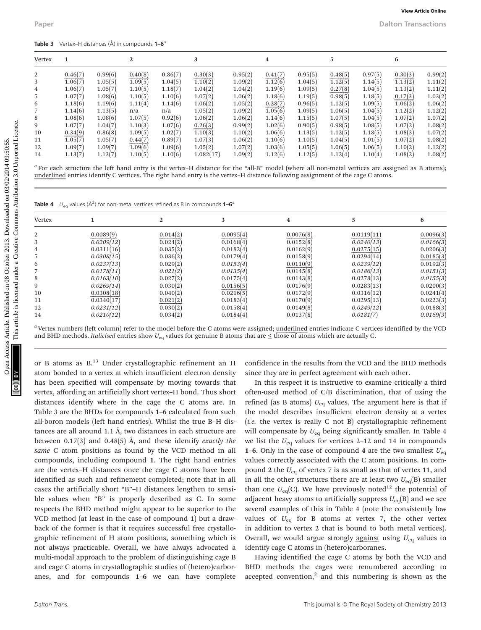| <b>Table 3</b> Vertex-H distances $(\hat{A})$ in compounds $1-6^{\circ}$ |  |
|--------------------------------------------------------------------------|--|
|--------------------------------------------------------------------------|--|

| 0.99(6)<br>0.40(8)<br>0.86(7)<br>0.95(2)<br>0.97(5)<br>2<br>0.46(7)<br>0.30(3)<br>0.41(7)<br>0.95(5)<br>0.48(5)<br>0.30(3)<br>3<br>1.06(7)<br>1.05(5)<br>1.09(5)<br>1.04(5)<br>1.10(2)<br>1.09(2)<br>1.12(6)<br>1.04(5)<br>1.12(5)<br>1.14(5)<br>1.13(2)<br>1.04(2)<br>$\overline{4}$<br>1.06(7)<br>1.05(7)<br>1.10(5)<br>1.18(7)<br>1.04(2)<br>1.19(6)<br>1.09(5)<br>0.27(8)<br>1.04(5)<br>1.13(2)<br>5<br>1.07(7)<br>1.08(6)<br>1.10(5)<br>1.10(6)<br>1.07(2)<br>1.06(2)<br>1.18(6)<br>1.19(5)<br>0.98(5)<br>1.18(5)<br>0.17(3)<br>6<br>1.18(6)<br>1.19(6)<br>1.14(6)<br>1.06(2)<br>1.05(2)<br>0.28(7)<br>1.09(5)<br>1.11(4)<br>0.96(5)<br>1.12(5)<br>1.06(2)<br>$\overline{7}$<br>1.14(6)<br>1.13(5)<br>1.05(2)<br>1.09(2)<br>1.05(6)<br>1.09(5)<br>1.06(5)<br>1.04(5)<br>1.12(2)<br>n/a<br>n/a<br>8<br>1.08(6)<br>1.08(6)<br>1.07(5)<br>0.92(6)<br>1.06(2)<br>1.06(2)<br>1.07(5)<br>1.07(2)<br>1.14(6)<br>1.15(5)<br>1.04(5)<br>9<br>1.07(7)<br>1.07(6)<br>1.04(7)<br>1.10(3)<br>0.26(3)<br>0.99(2)<br>1.02(6)<br>0.90(5)<br>0.98(5)<br>1.08(5)<br>1.07(2)<br>10<br>0.34(9)<br>0.86(8)<br>1.09(5)<br>1.02(7)<br>1.10(3)<br>1.10(2)<br>1.06(6)<br>1.12(5)<br>1.18(5)<br>1.08(3)<br>1.13(5)<br>1.05(7)<br>0.89(7)<br>1.06(2)<br>11<br>1.05(7)<br>0.44(7)<br>1.07(3)<br>1.10(6)<br>1.10(5)<br>1.04(5)<br>1.01(5)<br>1.07(2)<br>12<br>1.09(6)<br>1.09(6)<br>1.07(2)<br>1.09(7)<br>1.09(7)<br>1.05(2)<br>1.03(6)<br>1.05(5)<br>1.06(5)<br>1.06(5)<br>1.10(2)<br>1.13(7)<br>1.13(7)<br>1.10(6)<br>1.082(17)<br>1.09(2)<br>1.12(6)<br>1.12(5)<br>1.12(4)<br>1.10(4)<br>14<br>1.10(5)<br>1.08(2)<br><sup>a</sup> For each structure the left hand entry is the vertex-H distance for the "all-B" model (where all non-metal vertices are assigned as B atoms);<br>underlined entries identify C vertices. The right hand entry is the vertex–H distance following assignment of the cage C atoms. |
|-----------------------------------------------------------------------------------------------------------------------------------------------------------------------------------------------------------------------------------------------------------------------------------------------------------------------------------------------------------------------------------------------------------------------------------------------------------------------------------------------------------------------------------------------------------------------------------------------------------------------------------------------------------------------------------------------------------------------------------------------------------------------------------------------------------------------------------------------------------------------------------------------------------------------------------------------------------------------------------------------------------------------------------------------------------------------------------------------------------------------------------------------------------------------------------------------------------------------------------------------------------------------------------------------------------------------------------------------------------------------------------------------------------------------------------------------------------------------------------------------------------------------------------------------------------------------------------------------------------------------------------------------------------------------------------------------------------------------------------------------------------------------------------------------------------------------------------------------------------------------------------------------|
|                                                                                                                                                                                                                                                                                                                                                                                                                                                                                                                                                                                                                                                                                                                                                                                                                                                                                                                                                                                                                                                                                                                                                                                                                                                                                                                                                                                                                                                                                                                                                                                                                                                                                                                                                                                                                                                                                               |
|                                                                                                                                                                                                                                                                                                                                                                                                                                                                                                                                                                                                                                                                                                                                                                                                                                                                                                                                                                                                                                                                                                                                                                                                                                                                                                                                                                                                                                                                                                                                                                                                                                                                                                                                                                                                                                                                                               |
|                                                                                                                                                                                                                                                                                                                                                                                                                                                                                                                                                                                                                                                                                                                                                                                                                                                                                                                                                                                                                                                                                                                                                                                                                                                                                                                                                                                                                                                                                                                                                                                                                                                                                                                                                                                                                                                                                               |
|                                                                                                                                                                                                                                                                                                                                                                                                                                                                                                                                                                                                                                                                                                                                                                                                                                                                                                                                                                                                                                                                                                                                                                                                                                                                                                                                                                                                                                                                                                                                                                                                                                                                                                                                                                                                                                                                                               |
|                                                                                                                                                                                                                                                                                                                                                                                                                                                                                                                                                                                                                                                                                                                                                                                                                                                                                                                                                                                                                                                                                                                                                                                                                                                                                                                                                                                                                                                                                                                                                                                                                                                                                                                                                                                                                                                                                               |
|                                                                                                                                                                                                                                                                                                                                                                                                                                                                                                                                                                                                                                                                                                                                                                                                                                                                                                                                                                                                                                                                                                                                                                                                                                                                                                                                                                                                                                                                                                                                                                                                                                                                                                                                                                                                                                                                                               |
|                                                                                                                                                                                                                                                                                                                                                                                                                                                                                                                                                                                                                                                                                                                                                                                                                                                                                                                                                                                                                                                                                                                                                                                                                                                                                                                                                                                                                                                                                                                                                                                                                                                                                                                                                                                                                                                                                               |
|                                                                                                                                                                                                                                                                                                                                                                                                                                                                                                                                                                                                                                                                                                                                                                                                                                                                                                                                                                                                                                                                                                                                                                                                                                                                                                                                                                                                                                                                                                                                                                                                                                                                                                                                                                                                                                                                                               |
|                                                                                                                                                                                                                                                                                                                                                                                                                                                                                                                                                                                                                                                                                                                                                                                                                                                                                                                                                                                                                                                                                                                                                                                                                                                                                                                                                                                                                                                                                                                                                                                                                                                                                                                                                                                                                                                                                               |
|                                                                                                                                                                                                                                                                                                                                                                                                                                                                                                                                                                                                                                                                                                                                                                                                                                                                                                                                                                                                                                                                                                                                                                                                                                                                                                                                                                                                                                                                                                                                                                                                                                                                                                                                                                                                                                                                                               |
|                                                                                                                                                                                                                                                                                                                                                                                                                                                                                                                                                                                                                                                                                                                                                                                                                                                                                                                                                                                                                                                                                                                                                                                                                                                                                                                                                                                                                                                                                                                                                                                                                                                                                                                                                                                                                                                                                               |
|                                                                                                                                                                                                                                                                                                                                                                                                                                                                                                                                                                                                                                                                                                                                                                                                                                                                                                                                                                                                                                                                                                                                                                                                                                                                                                                                                                                                                                                                                                                                                                                                                                                                                                                                                                                                                                                                                               |
| $\mathbf{2}$<br>3<br>5<br>Vertex<br>$\mathbf{1}$<br>$\overline{4}$                                                                                                                                                                                                                                                                                                                                                                                                                                                                                                                                                                                                                                                                                                                                                                                                                                                                                                                                                                                                                                                                                                                                                                                                                                                                                                                                                                                                                                                                                                                                                                                                                                                                                                                                                                                                                            |
| 2<br>0.0089(9)<br>0.014(2)<br>0.0095(4)<br>0.0076(8)<br>0.0119(11)                                                                                                                                                                                                                                                                                                                                                                                                                                                                                                                                                                                                                                                                                                                                                                                                                                                                                                                                                                                                                                                                                                                                                                                                                                                                                                                                                                                                                                                                                                                                                                                                                                                                                                                                                                                                                            |
| 0.0152(8)<br>3<br>0.0209(12)<br>0.024(2)<br>0.0168(4)<br>0.0240(13)                                                                                                                                                                                                                                                                                                                                                                                                                                                                                                                                                                                                                                                                                                                                                                                                                                                                                                                                                                                                                                                                                                                                                                                                                                                                                                                                                                                                                                                                                                                                                                                                                                                                                                                                                                                                                           |
| $\overline{4}$<br>0.035(2)<br>0.0162(9)<br>0.0311(16)<br>0.0182(4)<br>0.0275(15)                                                                                                                                                                                                                                                                                                                                                                                                                                                                                                                                                                                                                                                                                                                                                                                                                                                                                                                                                                                                                                                                                                                                                                                                                                                                                                                                                                                                                                                                                                                                                                                                                                                                                                                                                                                                              |
| 5<br>0.0308(15)<br>0.036(2)<br>0.0179(4)<br>0.0158(9)<br>0.0294(14)                                                                                                                                                                                                                                                                                                                                                                                                                                                                                                                                                                                                                                                                                                                                                                                                                                                                                                                                                                                                                                                                                                                                                                                                                                                                                                                                                                                                                                                                                                                                                                                                                                                                                                                                                                                                                           |
| 6<br>0.029(2)<br>0.0237(13)<br>0.0153(4)<br>0.0110(9)<br>0.0239(12)                                                                                                                                                                                                                                                                                                                                                                                                                                                                                                                                                                                                                                                                                                                                                                                                                                                                                                                                                                                                                                                                                                                                                                                                                                                                                                                                                                                                                                                                                                                                                                                                                                                                                                                                                                                                                           |
| $\overline{7}$<br>0.0178(11)<br>0.021(2)<br>0.0135(4)<br>0.0145(8)<br>0.0186(13)                                                                                                                                                                                                                                                                                                                                                                                                                                                                                                                                                                                                                                                                                                                                                                                                                                                                                                                                                                                                                                                                                                                                                                                                                                                                                                                                                                                                                                                                                                                                                                                                                                                                                                                                                                                                              |
| 8<br>0.0163(10)<br>0.027(2)<br>0.0175(4)<br>0.0143(8)<br>0.0278(13)                                                                                                                                                                                                                                                                                                                                                                                                                                                                                                                                                                                                                                                                                                                                                                                                                                                                                                                                                                                                                                                                                                                                                                                                                                                                                                                                                                                                                                                                                                                                                                                                                                                                                                                                                                                                                           |
|                                                                                                                                                                                                                                                                                                                                                                                                                                                                                                                                                                                                                                                                                                                                                                                                                                                                                                                                                                                                                                                                                                                                                                                                                                                                                                                                                                                                                                                                                                                                                                                                                                                                                                                                                                                                                                                                                               |
| 9<br>0.0269(14)<br>0.030(2)<br>0.0156(5)<br>0.0176(9)<br>0.0283(13)                                                                                                                                                                                                                                                                                                                                                                                                                                                                                                                                                                                                                                                                                                                                                                                                                                                                                                                                                                                                                                                                                                                                                                                                                                                                                                                                                                                                                                                                                                                                                                                                                                                                                                                                                                                                                           |
| 10<br>0.0216(5)<br>0.0308(18)<br>0.040(2)<br>0.0172(9)<br>0.0316(12)                                                                                                                                                                                                                                                                                                                                                                                                                                                                                                                                                                                                                                                                                                                                                                                                                                                                                                                                                                                                                                                                                                                                                                                                                                                                                                                                                                                                                                                                                                                                                                                                                                                                                                                                                                                                                          |
| 0.0340(17)<br>0.0170(9)<br>11<br>0.021(2)<br>0.0183(4)<br>0.0295(13)                                                                                                                                                                                                                                                                                                                                                                                                                                                                                                                                                                                                                                                                                                                                                                                                                                                                                                                                                                                                                                                                                                                                                                                                                                                                                                                                                                                                                                                                                                                                                                                                                                                                                                                                                                                                                          |
| 0.030(2)<br>0.0158(4)<br>12<br>0.0231(12)<br>0.0149(8)<br>0.0249(12)                                                                                                                                                                                                                                                                                                                                                                                                                                                                                                                                                                                                                                                                                                                                                                                                                                                                                                                                                                                                                                                                                                                                                                                                                                                                                                                                                                                                                                                                                                                                                                                                                                                                                                                                                                                                                          |
|                                                                                                                                                                                                                                                                                                                                                                                                                                                                                                                                                                                                                                                                                                                                                                                                                                                                                                                                                                                                                                                                                                                                                                                                                                                                                                                                                                                                                                                                                                                                                                                                                                                                                                                                                                                                                                                                                               |
|                                                                                                                                                                                                                                                                                                                                                                                                                                                                                                                                                                                                                                                                                                                                                                                                                                                                                                                                                                                                                                                                                                                                                                                                                                                                                                                                                                                                                                                                                                                                                                                                                                                                                                                                                                                                                                                                                               |
|                                                                                                                                                                                                                                                                                                                                                                                                                                                                                                                                                                                                                                                                                                                                                                                                                                                                                                                                                                                                                                                                                                                                                                                                                                                                                                                                                                                                                                                                                                                                                                                                                                                                                                                                                                                                                                                                                               |
|                                                                                                                                                                                                                                                                                                                                                                                                                                                                                                                                                                                                                                                                                                                                                                                                                                                                                                                                                                                                                                                                                                                                                                                                                                                                                                                                                                                                                                                                                                                                                                                                                                                                                                                                                                                                                                                                                               |
|                                                                                                                                                                                                                                                                                                                                                                                                                                                                                                                                                                                                                                                                                                                                                                                                                                                                                                                                                                                                                                                                                                                                                                                                                                                                                                                                                                                                                                                                                                                                                                                                                                                                                                                                                                                                                                                                                               |
|                                                                                                                                                                                                                                                                                                                                                                                                                                                                                                                                                                                                                                                                                                                                                                                                                                                                                                                                                                                                                                                                                                                                                                                                                                                                                                                                                                                                                                                                                                                                                                                                                                                                                                                                                                                                                                                                                               |
| 0.0210(12)<br>0.034(2)<br>0.0184(4)<br>0.0137(8)<br>0.0181(7)<br>14                                                                                                                                                                                                                                                                                                                                                                                                                                                                                                                                                                                                                                                                                                                                                                                                                                                                                                                                                                                                                                                                                                                                                                                                                                                                                                                                                                                                                                                                                                                                                                                                                                                                                                                                                                                                                           |

 $a$  For each structure the left hand entry is the vertex–H distance for the "all-B" model (where all non-metal vertices are assigned as B atoms); underlined entries identify C vertices. The right hand entry is the vertex–H distance following assignment of the cage C atoms.

|  |  |  |  |  | <b>Table 4</b> $U_{\text{eq}}$ values ( $\AA^2$ ) for non-metal vertices refined as B in compounds <b>1–6</b> <sup>a</sup> |
|--|--|--|--|--|----------------------------------------------------------------------------------------------------------------------------|
|--|--|--|--|--|----------------------------------------------------------------------------------------------------------------------------|

| Vertex |            |          |           |           |            |           |
|--------|------------|----------|-----------|-----------|------------|-----------|
|        | 0.0089(9)  | 0.014(2) | 0.0095(4) | 0.0076(8) | 0.0119(11) | 0.0096(3) |
|        | 0.0209(12) | 0.024(2) | 0.0168(4) | 0.0152(8) | 0.0240(13) | 0.0166(3) |
|        | 0.0311(16) | 0.035(2) | 0.0182(4) | 0.0162(9) | 0.0275(15) | 0.0206(3) |
|        | 0.0308(15) | 0.036(2) | 0.0179(4) | 0.0158(9) | 0.0294(14) | 0.0185(3) |
| 6      | 0.0237(13) | 0.029(2) | 0.0153(4) | 0.0110(9) | 0.0239(12) | 0.0192(3) |
|        | 0.0178(11) | 0.021(2) | 0.0135(4) | 0.0145(8) | 0.0186(13) | 0.0151(3) |
| Զ      | 0.0163(10) | 0.027(2) | 0.0175(4) | 0.0143(8) | 0.0278(13) | 0.0155(3) |
| 9      | 0.0269(14) | 0.030(2) | 0.0156(5) | 0.0176(9) | 0.0283(13) | 0.0200(3) |
| 10     | 0.0308(18) | 0.040(2) | 0.0216(5) | 0.0172(9) | 0.0316(12) | 0.0241(4) |
| 11     | 0.0340(17) | 0.021(2) | 0.0183(4) | 0.0170(9) | 0.0295(13) | 0.0223(3) |
| 12     | 0.0231(12) | 0.030(2) | 0.0158(4) | 0.0149(8) | 0.0249(12) | 0.0188(3) |
| 14     | 0.0210(12) | 0.034(2) | 0.0184(4) | 0.0137(8) | 0.0181(7)  | 0.0169(3) |
|        |            |          |           |           |            |           |

or B atoms as B.<sup>13</sup> Under crystallographic refinement an H atom bonded to a vertex at which insufficient electron density has been specified will compensate by moving towards that vertex, affording an artificially short vertex–H bond. Thus short distances identify where in the cage the C atoms are. In Table 3 are the BHDs for compounds 1–6 calculated from such all-boron models (left hand entries). Whilst the true B–H distances are all around 1.1 Å, two distances in each structure are between 0.17(3) and 0.48(5) Å, and these identify exactly the same C atom positions as found by the VCD method in all compounds, including compound 1. The right hand entries are the vertex–H distances once the cage C atoms have been identified as such and refinement completed; note that in all cases the artificially short "B"–H distances lengthen to sensible values when "B" is properly described as C. In some respects the BHD method might appear to be superior to the VCD method (at least in the case of compound 1) but a drawback of the former is that it requires successful free crystallographic refinement of H atom positions, something which is not always practicable. Overall, we have always advocated a multi-modal approach to the problem of distinguishing cage B and cage C atoms in crystallographic studies of (hetero)carboranes, and for compounds 1–6 we can have complete

confidence in the results from the VCD and the BHD methods since they are in perfect agreement with each other.

In this respect it is instructive to examine critically a third often-used method of C/B discrimination, that of using the refined (as B atoms)  $U_{eq}$  values. The argument here is that if the model describes insufficient electron density at a vertex (*i.e.* the vertex is really C not B) crystallographic refinement will compensate by  $U_{\text{eq}}$  being significantly smaller. In Table 4 we list the  $U_{eq}$  values for vertices 2-12 and 14 in compounds **1–6.** Only in the case of compound 4 are the two smallest  $U_{eq}$ values correctly associated with the C atom positions. In compound 2 the  $U_{eq}$  of vertex 7 is as small as that of vertex 11, and in all the other structures there are at least two  $U_{eq}(B)$  smaller than one  $U_{eq}(C)$ . We have previously noted<sup>12</sup> the potential of adjacent heavy atoms to artificially suppress  $U_{eq}(B)$  and we see several examples of this in Table 4 (note the consistently low values of  $U_{eq}$  for B atoms at vertex 7, the other vertex in addition to vertex 2 that is bound to both metal vertices). Overall, we would argue strongly against using  $U_{eq}$  values to identify cage C atoms in (hetero)carboranes.

Having identified the cage C atoms by both the VCD and BHD methods the cages were renumbered according to accepted convention, $2$  and this numbering is shown as the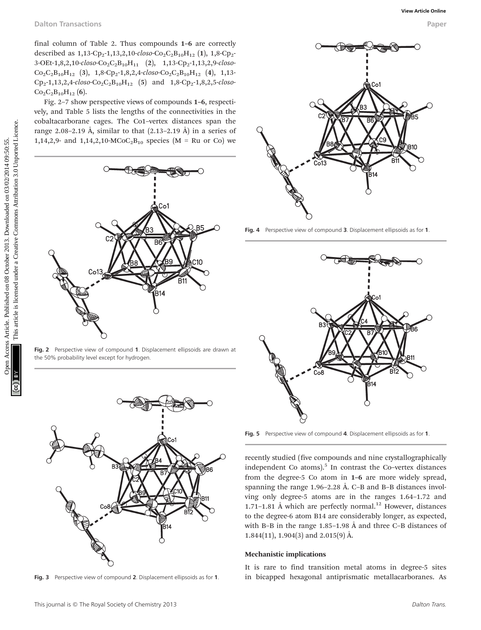final column of Table 2. Thus compounds 1–6 are correctly described as  $1,13$ -Cp<sub>2</sub>-1,13,2,10-closo-Co<sub>2</sub>C<sub>2</sub>B<sub>10</sub>H<sub>12</sub> (1), 1,8-Cp<sub>2</sub>- $3-OEt-1,8,2,10-closo-Co<sub>2</sub>C<sub>2</sub>B<sub>10</sub>H<sub>11</sub>$  (2),  $1,13-Cp<sub>2</sub>-1,13,2,9-closo Co_2C_2B_{10}H_{12}$  (3), 1,8-Cp<sub>2</sub>-1,8,2,4-closo-Co<sub>2</sub>C<sub>2</sub>B<sub>10</sub>H<sub>12</sub> (4), 1,13- $Cp_2-1,13,2,4-closo-Co_2C_2B_{10}H_{12}$  (5) and  $1,8-Cp_2-1,8,2,5-closo Co_2C_2B_{10}H_{12}$  (6).

Fig. 2–7 show perspective views of compounds 1–6, respectively, and Table 5 lists the lengths of the connectivities in the cobaltacarborane cages. The Co1–vertex distances span the range 2.08–2.19 Å, similar to that  $(2.13-2.19 \text{ Å})$  in a series of 1,14,2,9- and 1,14,2,10-MCoC<sub>2</sub>B<sub>10</sub> species (M = Ru or Co) we



Fig. 2 Perspective view of compound 1. Displacement ellipsoids are drawn at the 50% probability level except for hydrogen.



Fig. 3 Perspective view of compound 2. Displacement ellipsoids as for 1.



Fig. 4 Perspective view of compound 3. Displacement ellipsoids as for 1.



Fig. 5 Perspective view of compound 4. Displacement ellipsoids as for 1.

recently studied (five compounds and nine crystallographically independent Co atoms). $5$  In contrast the Co–vertex distances from the degree-5 Co atom in 1–6 are more widely spread, spanning the range 1.96–2.28 Å. C–B and B–B distances involving only degree-5 atoms are in the ranges 1.64–1.72 and 1.71-1.81 Å which are perfectly normal.<sup>12</sup> However, distances to the degree-6 atom B14 are considerably longer, as expected, with B–B in the range 1.85–1.98 Å and three C–B distances of 1.844(11), 1.904(3) and 2.015(9) Å.

#### Mechanistic implications

It is rare to find transition metal atoms in degree-5 sites in bicapped hexagonal antiprismatic metallacarboranes. As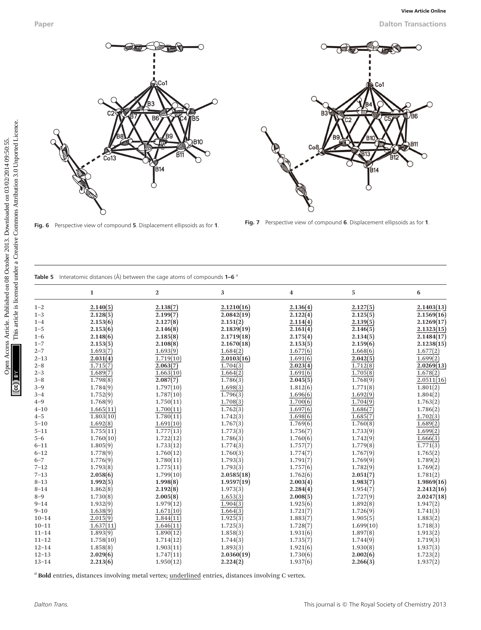





|  | <b>Fable 5</b> Interatomic distances ( $\hat{A}$ ) between the cage atoms of compounds 1-6 $\hat{A}$ |  |  |  |  |  |  |  |  |  |
|--|------------------------------------------------------------------------------------------------------|--|--|--|--|--|--|--|--|--|
|--|------------------------------------------------------------------------------------------------------|--|--|--|--|--|--|--|--|--|

|                                                                                                                                              |                                                                                                                                                                                   |                                                                                                                                                                                        |                                                                                                                                                                                              |                                                                                                                                                                                  |                                                                                                                                                                                  | <b>Dalton Transactions</b>                                                                                                                                                           |
|----------------------------------------------------------------------------------------------------------------------------------------------|-----------------------------------------------------------------------------------------------------------------------------------------------------------------------------------|----------------------------------------------------------------------------------------------------------------------------------------------------------------------------------------|----------------------------------------------------------------------------------------------------------------------------------------------------------------------------------------------|----------------------------------------------------------------------------------------------------------------------------------------------------------------------------------|----------------------------------------------------------------------------------------------------------------------------------------------------------------------------------|--------------------------------------------------------------------------------------------------------------------------------------------------------------------------------------|
|                                                                                                                                              | Co13                                                                                                                                                                              | )Co1<br>B6<br>B5<br>7B10<br>B14                                                                                                                                                        |                                                                                                                                                                                              | B3                                                                                                                                                                               | Co1<br>В.<br>B14                                                                                                                                                                 | /B6<br>DB11                                                                                                                                                                          |
|                                                                                                                                              | Fig. 6 Perspective view of compound 5. Displacement ellipsoids as for 1.<br>Table 5 Interatomic distances ( $\AA$ ) between the cage atoms of compounds 1-6 <sup>a</sup>          |                                                                                                                                                                                        |                                                                                                                                                                                              |                                                                                                                                                                                  | Fig. 7 Perspective view of compound 6. Displacement ellipsoids as for 1.                                                                                                         |                                                                                                                                                                                      |
|                                                                                                                                              | 1                                                                                                                                                                                 | 2                                                                                                                                                                                      | 3                                                                                                                                                                                            | 4                                                                                                                                                                                | 5                                                                                                                                                                                | 6                                                                                                                                                                                    |
| $1 - 2$<br>$1 - 3$<br>$1 - 4$<br>$1 - 5$<br>$1 - 6$<br>$1 - 7$<br>$2 - 7$<br>$2 - 13$<br>$2 - 8$<br>$2 - 3$<br>$3 - 8$<br>$3 - 9$<br>$3 - 4$ | 2.140(5)<br>2.128(5)<br>2.153(6)<br>2.153(6)<br>2.148(6)<br>2.153(5)<br>1.693(7)<br>2.031(4)<br>1.715(7)<br>1.689(7)<br>1.798(8)<br>1.784(9)<br>1.752(9)<br>1.768(9)<br>1.665(11) | 2.138(7)<br>2.199(7)<br>2.127(8)<br>2.146(8)<br>2.185(8)<br>2.108(8)<br>1.693(9)<br>1.719(10)<br>2.063(7)<br>1.663(10)<br>2.087(7)<br>1.797(10)<br>1.787(10)<br>1.750(11)<br>1.700(11) | 2.1210(16)<br>2.0842(19)<br>2.151(2)<br>2.1839(19)<br>2.1719(18)<br>2.1670(18)<br>1.684(2)<br>2.0103(16)<br>1.704(3)<br>1.664(2)<br>1.786(3)<br>1.698(3)<br>1.796(3)<br>1.708(3)<br>1.762(3) | 2.136(4)<br>2.122(4)<br>2.114(4)<br>2.161(4)<br>2.175(4)<br>2.153(5)<br>1.677(6)<br>1.691(6)<br>2.023(4)<br>1.691(6)<br>2.045(5)<br>1.812(6)<br>1.696(6)<br>1.700(6)<br>1.697(6) | 2.127(5)<br>2.125(5)<br>2.139(5)<br>2.146(5)<br>2.134(5)<br>2.159(6)<br>1.668(6)<br>2.042(5)<br>1.712(8)<br>1.705(8)<br>1.768(9)<br>1.771(8)<br>1.692(9)<br>1.704(9)<br>1.686(7) | 2.1403(13)<br>2.1569(16)<br>2.1269(17)<br>2.1323(15)<br>2.1484(17)<br>2.1238(15)<br>1.677(2)<br>1.699(2)<br>2.0269(13)<br>1.678(2)<br>2.0511(16)<br>1.801(2)<br>1.804(2)<br>1.763(2) |

<sup>a</sup> Bold entries, distances involving metal vertex; underlined entries, distances involving C vertex.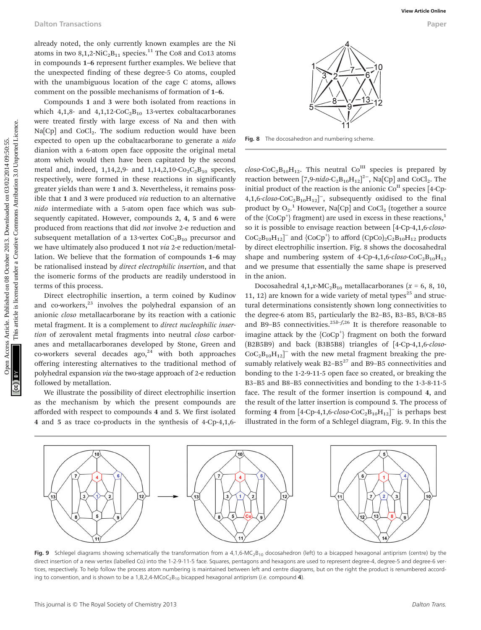already noted, the only currently known examples are the Ni atoms in two  $8,1,2$ -NiC<sub>2</sub>B<sub>11</sub> species.<sup>11</sup> The Co8 and Co13 atoms in compounds 1–6 represent further examples. We believe that the unexpected finding of these degree-5 Co atoms, coupled with the unambiguous location of the cage C atoms, allows comment on the possible mechanisms of formation of 1–6.

Compounds 1 and 3 were both isolated from reactions in which 4,1,8- and 4,1,12-CoC<sub>2</sub>B<sub>10</sub> 13-vertex cobaltacarboranes were treated firstly with large excess of Na and then with  $Na[Cp]$  and  $CoCl<sub>2</sub>$ . The sodium reduction would have been expected to open up the cobaltacarborane to generate a nido dianion with a 6-atom open face opposite the original metal atom which would then have been capitated by the second metal and, indeed, 1,14,2,9- and 1,14,2,10- $Co_2C_2B_{10}$  species, respectively, were formed in these reactions in significantly greater yields than were 1 and 3. Nevertheless, it remains possible that 1 and 3 were produced via reduction to an alternative nido intermediate with a 5-atom open face which was subsequently capitated. However, compounds 2, 4, 5 and 6 were produced from reactions that did not involve 2-e reduction and subsequent metallation of a 13-vertex  $CoC<sub>2</sub>B<sub>10</sub>$  precursor and we have ultimately also produced 1 not via 2-e reduction/metallation. We believe that the formation of compounds 1–6 may be rationalised instead by direct electrophilic insertion, and that the isomeric forms of the products are readily understood in terms of this process. Calton Transactions<br>
Subsect Articles. Published on 08:13 October 2013. Downloaded on 10 October 2013. Downloaded to the state of the state of the state of the state of the state of the state of the state of the state of

Direct electrophilic insertion, a term coined by Kudinov and co-workers, $^{23}$  involves the polyhedral expansion of an anionic closo metallacarborane by its reaction with a cationic metal fragment. It is a complement to direct nucleophilic insertion of zerovalent metal fragments into neutral closo carboranes and metallacarboranes developed by Stone, Green and co-workers several decades ago, $24$  with both approaches offering interesting alternatives to the traditional method of polyhedral expansion via the two-stage approach of 2-e reduction followed by metallation.

We illustrate the possibility of direct electrophilic insertion as the mechanism by which the present compounds are afforded with respect to compounds 4 and 5. We first isolated 4 and 5 as trace co-products in the synthesis of 4-Cp-4,1,6-



Fig. 8 The docosahedron and numbering scheme.

 $\text{c}$ loso-CoC<sub>2</sub>B<sub>10</sub>H<sub>12</sub>. This neutral Co<sup>III</sup> species is prepared by reaction between [7,9-nido-C<sub>2</sub>B<sub>10</sub>H<sub>12</sub>]<sup>2-</sup>, Na[Cp] and CoCl<sub>2</sub>. The initial product of the reaction is the anionic  $Co<sup>H</sup>$  species [4-Cp- $4,1,6$ -closo-CoC<sub>2</sub>B<sub>10</sub>H<sub>12</sub><sup> $]$ </sup>, subsequently oxidised to the final product by  $O_2$ .<sup>1</sup> However, Na<sup>[</sup>Cp] and CoCl<sub>2</sub> (together a source of the  ${CoCp^+}$  fragment) are used in excess in these reactions,<sup>1</sup> so it is possible to envisage reaction between [4-Cp-4,1,6-closo- $CoC_2B_{10}H_{12}$ <sup>-</sup> and {CoCp<sup>+</sup>} to afford (CpCo)<sub>2</sub>C<sub>2</sub>B<sub>10</sub>H<sub>12</sub> products by direct electrophilic insertion. Fig. 8 shows the docosahedral shape and numbering system of 4-Cp-4,1,6-closo-CoC<sub>2</sub>B<sub>10</sub>H<sub>12</sub> and we presume that essentially the same shape is preserved in the anion.

Docosahedral  $4,1,x$ -MC<sub>2</sub>B<sub>10</sub> metallacarboranes (x = 6, 8, 10, 11, 12) are known for a wide variety of metal types<sup>25</sup> and structural determinations consistently shown long connectivities to the degree-6 atom B5, particularly the B2-B5, B3-B5, B/C8-B5 and B9–B5 connectivities.<sup>25b–f,26</sup> It is therefore reasonable to imagine attack by the  ${CoCp^+}$  fragment on both the forward (B2B5B9) and back (B3B5B8) triangles of [4-Cp-4,1,6-closo- $CoC<sub>2</sub>B<sub>10</sub>H<sub>12</sub>$ <sup>-</sup> with the new metal fragment breaking the presumably relatively weak  $B2-B5^{27}$  and  $B9-B5$  connectivities and bonding to the 1-2-9-11-5 open face so created, or breaking the B3–B5 and B8–B5 connectivities and bonding to the 1-3-8-11-5 face. The result of the former insertion is compound 4, and the result of the latter insertion is compound 5. The process of forming 4 from  $[4\text{-}Cp\text{-}4, 1, 6\text{-}c \log(-C_2B_{10}H_{12}]$  is perhaps best illustrated in the form of a Schlegel diagram, Fig. 9. In this the



Fig. 9 Schlegel diagrams showing schematically the transformation from a 4,1,6-MC<sub>2</sub>B<sub>10</sub> docosahedron (left) to a bicapped hexagonal antiprism (centre) by the direct insertion of a new vertex (labelled Co) into the 1-2-9-11-5 face. Squares, pentagons and hexagons are used to represent degree-4, degree-5 and degree-6 vertices, respectively. To help follow the process atom numbering is maintained between left and centre diagrams, but on the right the product is renumbered according to convention, and is shown to be a 1,8,2,4-MCoC<sub>2</sub>B<sub>10</sub> bicapped hexagonal antiprism (*i.e.* compound **4**).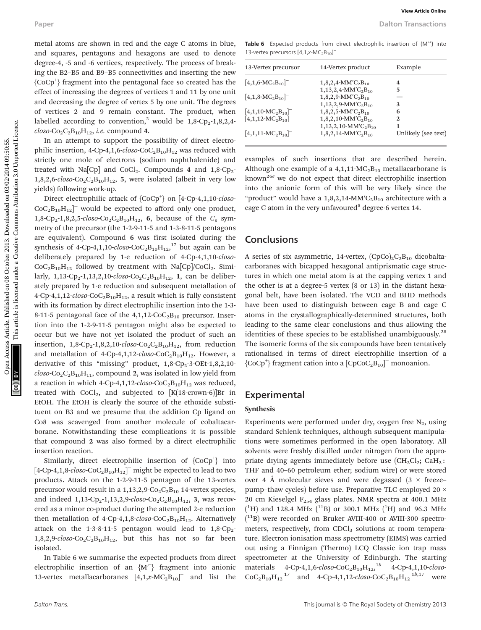metal atoms are shown in red and the cage C atoms in blue, and squares, pentagons and hexagons are used to denote degree-4, -5 and -6 vertices, respectively. The process of breaking the B2–B5 and B9–B5 connectivities and inserting the new {CoCp<sup>+</sup> } fragment into the pentagonal face so created has the effect of increasing the degrees of vertices 1 and 11 by one unit and decreasing the degree of vertex 5 by one unit. The degrees of vertices 2 and 9 remain constant. The product, when labelled according to convention,<sup>2</sup> would be  $1,8$ -Cp<sub>2</sub>-1,8,2,4- $\text{c} \text{loso-Co}_2\text{C}_2\text{B}_{10}\text{H}_{12}$ , *i.e.* compound 4.

In an attempt to support the possibility of direct electrophilic insertion, 4-Cp-4,1,6-closo-CoC<sub>2</sub>B<sub>10</sub>H<sub>12</sub> was reduced with strictly one mole of electrons (sodium naphthalenide) and treated with Na $[Cp]$  and  $CoCl<sub>2</sub>$ . Compounds 4 and 1,8-Cp<sub>2</sub>- $1,8,2,6$ -closo-Co<sub>2</sub>C<sub>2</sub>B<sub>10</sub>H<sub>12</sub>, 5, were isolated (albeit in very low yields) following work-up.

Direct electrophilic attack of {CoCp<sup>+</sup>} on [4-Cp-4,1,10-closo- $CoC<sub>2</sub>B<sub>10</sub>H<sub>12</sub>$ <sup>-</sup> would be expected to afford only one product, 1,8-Cp<sub>2</sub>-1,8,2,5-closo-Co<sub>2</sub>C<sub>2</sub>B<sub>10</sub>H<sub>12</sub>, 6, because of the  $C_s$  symmetry of the precursor (the 1-2-9-11-5 and 1-3-8-11-5 pentagons are equivalent). Compound 6 was first isolated during the synthesis of 4-Cp-4,1,10- $\text{clos}_0$ -CoC<sub>2</sub>B<sub>10</sub>H<sub>12</sub>,<sup>17</sup> but again can be deliberately prepared by 1-e reduction of 4-Cp-4,1,10-closo- $CoC_2B_{10}H_{12}$  followed by treatment with Na[Cp]/CoCl<sub>2</sub>. Similarly,  $1,13$ -Cp<sub>2</sub>-1,13,2,10-closo-Co<sub>2</sub>C<sub>2</sub>B<sub>10</sub>H<sub>12</sub>, 1, can be deliberately prepared by 1-e reduction and subsequent metallation of 4-Cp-4,1,12-closo-CoC<sub>2</sub>B<sub>10</sub>H<sub>12</sub>, a result which is fully consistent with its formation by direct electrophilic insertion into the 1-3- 8-11-5 pentagonal face of the  $4,1,12$ -CoC<sub>2</sub>B<sub>10</sub> precursor. Insertion into the 1-2-9-11-5 pentagon might also be expected to occur but we have not yet isolated the product of such an insertion,  $1,8$ -Cp<sub>2</sub>-1,8,2,10-closo-Co<sub>2</sub>C<sub>2</sub>B<sub>10</sub>H<sub>12</sub>, from reduction and metallation of 4-Cp-4,1,12- $\text{c}$ loso-CoC<sub>2</sub>B<sub>10</sub>H<sub>12</sub>. However, a derivative of this "missing" product,  $1,8$ -Cp<sub>2</sub>-3-OEt-1,8,2,10- $\text{closo-Co}_2\text{C}_2\text{B}_{10}\text{H}_{11}$ , compound 2, was isolated in low yield from a reaction in which 4-Cp-4,1,12-closo-CoC<sub>2</sub>B<sub>10</sub>H<sub>12</sub> was reduced, treated with  $CoCl<sub>2</sub>$ , and subjected to  $[K(18\text{-}crown-6)]Br$  in EtOH. The EtOH is clearly the source of the ethoxide substituent on B3 and we presume that the addition Cp ligand on Co8 was scavenged from another molecule of cobaltacarborane. Notwithstanding these complications it is possible that compound 2 was also formed by a direct electrophilic insertion reaction. Paper More articles are thosen in red and the cage C atoms in blue, taske 6 Leecest precede for diversify continuous are about the model on the case of 08.1 The equation in the published on 02/14. Download the case of Cre

Similarly, direct electrophilic insertion of  ${CoCp^+}$  into [4-Cp-4,1,8- $\text{clos}_0$ -CoC<sub>2</sub>B<sub>10</sub>H<sub>12</sub>]<sup>-</sup> might be expected to lead to two products. Attack on the 1-2-9-11-5 pentagon of the 13-vertex precursor would result in a  $1,13,2,9$ -Co<sub>2</sub>C<sub>2</sub>B<sub>10</sub> 14-vertex species, and indeed  $1,13$ -Cp<sub>2</sub>-1,13,2,9-closo-Co<sub>2</sub>C<sub>2</sub>B<sub>10</sub>H<sub>12</sub>, 3, was recovered as a minor co-product during the attempted 2-e reduction then metallation of 4-Cp-4,1,8-closo-CoC<sub>2</sub>B<sub>10</sub>H<sub>12</sub>. Alternatively attack on the 1-3-8-11-5 pentagon would lead to  $1,8$ -Cp<sub>2</sub>- $1,8,2,9$ -closo-Co<sub>2</sub>C<sub>2</sub>B<sub>10</sub>H<sub>12</sub>, but this has not so far been isolated.

In Table 6 we summarise the expected products from direct electrophilic insertion of an  ${M'}^{\dagger}$  fragment into anionic 13-vertex metallacarboranes  $[4,1,x-MC_2B_{10}]^-$  and list the

Table 6 Expected products from direct electrophilic insertion of {M<sup>++</sup>} into 13-vertex precursors [4,1,x-MC<sub>2</sub>B<sub>10</sub>]<sup>-</sup>

| 13-Vertex precursor                | 14-Vertex product                              | Example             |  |  |
|------------------------------------|------------------------------------------------|---------------------|--|--|
| $[4,1,6-MC2B10]$                   | $1,8,2,4$ -MM'C <sub>2</sub> B <sub>10</sub>   | 4                   |  |  |
|                                    | $1,13,2,4$ -MM'C <sub>2</sub> B <sub>10</sub>  | 5                   |  |  |
| $[4,1,8 \cdot MC_2B_{10}]$         | $1,8,2,9$ -MM'C <sub>2</sub> B <sub>10</sub>   |                     |  |  |
|                                    | $1,13,2,9-MM'C_2B_{10}$                        | 3                   |  |  |
| $[4,1,10\text{-}MC_{2}B_{10}]^{-}$ | $1,8,2,5$ -MM'C <sub>2</sub> B <sub>10</sub>   | 6                   |  |  |
| $[4,1,12-MC_2B_{10}]$              | $1,8,2,10$ -MM'C <sub>2</sub> B <sub>10</sub>  | 2                   |  |  |
|                                    | $1,13,2,10$ -MM'C <sub>2</sub> B <sub>10</sub> | 1                   |  |  |
| $[4,1,11-MC2B10]$                  | $1,8,2,14$ -MM'C <sub>2</sub> B <sub>10</sub>  | Unlikely (see text) |  |  |

examples of such insertions that are described herein. Although one example of a  $4,1,11-MC_2B_{10}$  metallacarborane is known<sup>26e</sup> we do not expect that direct electrophilic insertion into the anionic form of this will be very likely since the "product" would have a  $1,8,2,14-MM'C_2B_{10}$  architecture with a cage C atom in the very unfavoured<sup>8</sup> degree-6 vertex 14.

#### **Conclusions**

A series of six asymmetric, 14-vertex,  $(CpCo)_{2}C_{2}B_{10}$  dicobaltacarboranes with bicapped hexagonal antiprismatic cage structures in which one metal atom is at the capping vertex 1 and the other is at a degree-5 vertex (8 or 13) in the distant hexagonal belt, have been isolated. The VCD and BHD methods have been used to distinguish between cage B and cage C atoms in the crystallographically-determined structures, both leading to the same clear conclusions and thus allowing the identities of these species to be established unambiguously.<sup>28</sup> The isomeric forms of the six compounds have been tentatively rationalised in terms of direct electrophilic insertion of a  ${CoCp^+}$  fragment cation into a  ${[CpCoC_2B_{10}]^-}$  monoanion.

#### Experimental

#### Synthesis

Experiments were performed under dry, oxygen free  $N_2$ , using standard Schlenk techniques, although subsequent manipulations were sometimes performed in the open laboratory. All solvents were freshly distilled under nitrogen from the appropriate drying agents immediately before use  $(CH_2Cl_2; CaH_2;$ THF and 40–60 petroleum ether; sodium wire) or were stored over 4 Å molecular sieves and were degassed  $(3 \times$  freeze– pump–thaw cycles) before use. Preparative TLC employed 20 × 20 cm Kieselgel  $F_{254}$  glass plates. NMR spectra at 400.1 MHz  $(^{1}H)$  and 128.4 MHz  $(^{11}B)$  or 300.1 MHz  $(^{1}H)$  and 96.3 MHz ( 11B) were recorded on Bruker AVIII-400 or AVIII-300 spectrometers, respectively, from CDCl<sub>3</sub> solutions at room temperature. Electron ionisation mass spectrometry (EIMS) was carried out using a Finnigan (Thermo) LCQ Classic ion trap mass spectrometer at the University of Edinburgh. The starting materials  $4$ -Cp-4,1,6-*closo*-CoC<sub>2</sub>B<sub>10</sub>H<sub>12</sub>,<sup>1b</sup>  $4$ -Cp-4,1,10-*closo*- $CoC_2B_{10}H_{12}^{17}$  and 4-Cp-4,1,12-closo-CoC<sub>2</sub>B<sub>10</sub>H<sub>12</sub><sup>1b,17</sup> were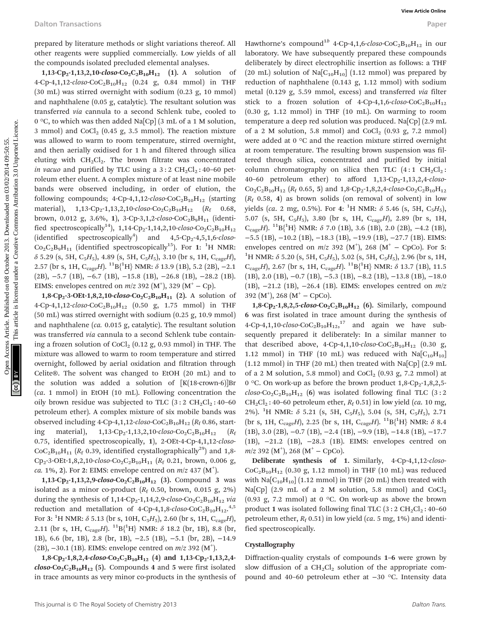prepared by literature methods or slight variations thereof. All other reagents were supplied commercially. Low yields of all the compounds isolated precluded elemental analyses.

1,13-Cp<sub>2</sub>-1,13,2,10-closo-Co<sub>2</sub>C<sub>2</sub>B<sub>10</sub>H<sub>12</sub> (1). A solution of 4-Cp-4,1,12-closo-CoC<sub>2</sub>B<sub>10</sub>H<sub>12</sub> (0.24 g, 0.84 mmol) in THF (30 mL) was stirred overnight with sodium (0.23 g, 10 mmol) and naphthalene (0.05 g, catalytic). The resultant solution was transferred via cannula to a second Schlenk tube, cooled to 0 °C, to which was then added Na[Cp] (3 mL of a 1 M solution, 3 mmol) and  $CoCl<sub>2</sub>$  (0.45 g, 3.5 mmol). The reaction mixture was allowed to warm to room temperature, stirred overnight, and then aerially oxidised for 1 h and filtered through silica eluting with  $CH_2Cl_2$ . The brown filtrate was concentrated in vacuo and purified by TLC using a  $3:2 \text{ CH}_2\text{Cl}_2$ : 40–60 petroleum ether eluent. A complex mixture of at least nine mobile bands were observed including, in order of elution, the following compounds; 4-Cp-4,1,12- $\text{c}$ loso-CoC<sub>2</sub>B<sub>10</sub>H<sub>12</sub> (starting material),  $1,13-Cp_2-1,13,2,10-closo-Co_2C_2B_{10}H_{12}$  ( $R_f$  0.68, brown, 0.012 g, 3.6%, 1), 3-Cp-3,1,2-closo-CoC<sub>2</sub>B<sub>9</sub>H<sub>11</sub> (identified spectroscopically<sup>14</sup>), 1,14-Cp<sub>2</sub>-1,14,2,10-closo-Co<sub>2</sub>C<sub>2</sub>B<sub>10</sub>H<sub>12</sub> (identified spectroscopically<sup>4</sup>) and  $4,5$ -Cp<sub>2</sub>-4,5,1,6-*closo*- $Co_2C_2B_9H_{11}$  (identified spectroscopically<sup>15</sup>). For 1: <sup>1</sup>H NMR:  $\delta$  5.29 (s, 5H, C<sub>5</sub>H<sub>5</sub>), 4.89 (s, 5H, C<sub>5</sub>H<sub>5</sub>), 3.10 (br s, 1H, C<sub>cage</sub>H), 2.57 (br s, 1H,  $\rm C_{cage}H$ ).  $\rm ^{11}B\{^1H\}$  NMR:  $\delta$  13.9 (1B), 5.2 (2B), -2.1 (2B), −5.7 (1B), −6.7 (1B), −15.8 (1B), −26.8 (1B), −28.2 (1B). EIMS: envelopes centred on  $m/z$  392 (M<sup>+</sup>), 329 (M<sup>+</sup> – Cp).

1,8-Cp<sub>2</sub>-3-OEt-1,8,2,10-closo-Co<sub>2</sub>C<sub>2</sub>B<sub>10</sub>H<sub>11</sub> (2). A solution of 4-Cp-4,1,12-closo-CoC<sub>2</sub>B<sub>10</sub>H<sub>12</sub> (0.50 g, 1.75 mmol) in THF (50 mL) was stirred overnight with sodium (0.25 g, 10.9 mmol) and naphthalene (ca. 0.015 g, catalytic). The resultant solution was transferred via cannula to a second Schlenk tube containing a frozen solution of  $CoCl<sub>2</sub>$  (0.12 g, 0.93 mmol) in THF. The mixture was allowed to warm to room temperature and stirred overnight, followed by aerial oxidation and filtration through Celite®. The solvent was changed to EtOH (20 mL) and to the solution was added a solution of  $[K(18\text{-}crown-6)]Br$ (ca. 1 mmol) in EtOH (10 mL). Following concentration the oily brown residue was subjected to TLC  $(3:2 \text{ CH}_2\text{Cl}_2:40-60)$ petroleum ether). A complex mixture of six mobile bands was observed including 4-Cp-4,1,12-closo-CoC<sub>2</sub>B<sub>10</sub>H<sub>12</sub> ( $R_f$  0.86, starting material),  $1,13-Cp_2-1,13,2,10-c\n *loso*-*Co*<sub>2</sub>*Co*<sub>10</sub>*H*<sub>12</sub> (*R*<sub>f</sub>$ 0.75, identified spectroscopically, 1), 2-OEt-4-Cp-4,1,12-closo- $CoC<sub>2</sub>B<sub>10</sub>H<sub>11</sub>$  ( $R<sub>f</sub>$  0.39, identified crystallographically<sup>29</sup>) and 1,8-Cp<sub>2</sub>-3-OEt-1,8,2,10-closo-Co<sub>2</sub>C<sub>2</sub>B<sub>10</sub>H<sub>11</sub> (R<sub>f</sub> 0.21, brown, 0.006 g, *ca.* 1%, 2). For 2: EIMS: envelope centred on  $m/z$  437 (M<sup>+</sup>).

1,13-Cp<sub>2</sub>-1,13,2,9-closo-Co<sub>2</sub>C<sub>2</sub>B<sub>10</sub>H<sub>12</sub> (3). Compound 3 was isolated as a minor co-product  $(R_f 0.50, brown, 0.015 g, 2%)$ during the synthesis of  $1,14$ -Cp<sub>2</sub>-1,14,2,9-closo-Co<sub>2</sub>C<sub>2</sub>B<sub>10</sub>H<sub>12</sub> via reduction and metallation of 4-Cp-4,1,8- $\epsilon\text{}$ loso-CoC<sub>2</sub>B<sub>10</sub>H<sub>12</sub>.<sup>4,5</sup> For 3:  $^{1}$ H NMR:  $\delta$  5.13 (br s, 10H, C<sub>5</sub>H<sub>5</sub>), 2.60 (br s, 1H, C<sub>cage</sub>H), 2.11 (br s, 1H,  $\rm C_{cage}H$ ).  $\rm ^{11}B\{^1H\}$  NMR:  $\delta$  18.2 (br, 1B), 8.8 (br, 1B), 6.6 (br, 1B), 2.8 (br, 1B), −2.5 (1B), −5.1 (br, 2B), −14.9 (2B),  $-30.1$  (1B). EIMS: envelope centred on  $m/z$  392 (M<sup>+</sup>).

1,8-Cp<sub>2</sub>-1,8,2,4-closo-Co<sub>2</sub>C<sub>2</sub>B<sub>10</sub>H<sub>12</sub> (4) and 1,13-Cp<sub>2</sub>-1,13,2,4- $\text{closo-Co}_2\text{C}_2\text{B}_{10}\text{H}_{12}$  (5). Compounds 4 and 5 were first isolated in trace amounts as very minor co-products in the synthesis of

Hawthorne's compound<sup>1b</sup> 4-Cp-4,1,6-closo-CoC<sub>2</sub>B<sub>10</sub>H<sub>12</sub> in our laboratory. We have subsequently prepared these compounds deliberately by direct electrophilic insertion as follows: a THF (20 mL) solution of  $\text{Na}[\text{C}_{10}H_{10}]$  (1.12 mmol) was prepared by reduction of naphthalene (0.143 g, 1.12 mmol) with sodium metal (0.129 g, 5.59 mmol, excess) and transferred via filter stick to a frozen solution of 4-Cp-4,1,6-closo-CoC<sub>2</sub>B<sub>10</sub>H<sub>12</sub>  $(0.30 \text{ g}, 1.12 \text{ mmol})$  in THF  $(10 \text{ mL})$ . On warming to room temperature a deep red solution was produced. Na[Cp] (2.9 mL of a 2 M solution, 5.8 mmol) and  $CoCl<sub>2</sub>$  (0.93 g, 7.2 mmol) were added at 0 °C and the reaction mixture stirred overnight at room temperature. The resulting brown suspension was filtered through silica, concentrated and purified by initial column chromatography on silica then TLC  $(4:1 \text{ CH}_{2}Cl_{2})$ : 40–60 petroleum ether) to afford  $1,13$ -Cp<sub>2</sub>-1,13,2,4-closo- $Co_2C_2B_{10}H_{12}$  ( $R_f$  0.65, 5) and 1,8-Cp<sub>2</sub>-1,8,2,4-closo-Co<sub>2</sub>C<sub>2</sub>B<sub>10</sub>H<sub>12</sub>  $(R<sub>f</sub> 0.58, 4)$  as brown solids (on removal of solvent) in low yields (ca. 2 mg, 0.5%). For 4: <sup>1</sup>H NMR:  $\delta$  5.46 (s, 5H, C<sub>5</sub>H<sub>5</sub>), 5.07 (s, 5H,  $C_5H_5$ ), 3.80 (br s, 1H,  $C_{cage}H$ ), 2.89 (br s, 1H, C<sub>cage</sub>H). <sup>11</sup>B{<sup>1</sup>H} NMR:  $\delta$  7.0 (1B), 3.6 (1B), 2.0 (2B), -4.2 (1B), −5.5 (1B), −10.2 (1B), −18.3 (1B), −19.9 (1B), −27.7 (1B). EIMS: envelopes centred on  $m/z$  392 (M<sup>+</sup>), 268 (M<sup>+</sup> – CpCo). For 5: <sup>1</sup>H NMR:  $\delta$  5.20 (s, 5H, C<sub>5</sub>H<sub>5</sub>), 5.02 (s, 5H, C<sub>5</sub>H<sub>5</sub>), 2.96 (br s, 1H,  $C_{cage}H$ ), 2.67 (br s, 1H,  $C_{cage}H$ ).  ${}^{11}B_{1}^{1}H$ } NMR:  $\delta$  13.7 (1B), 11.5 (1B), 2.0 (1B), −0.7 (1B), −5.3 (1B), −8.2 (1B), −13.8 (1B), −18.0 (1B),  $-21.2$  (1B),  $-26.4$  (1B). EIMS: envelopes centred on  $m/z$ 392 (M<sup>+</sup>), 268 (M<sup>+</sup> – CpCo). Dalton Transactions Werelettons (Expansions Access All Hawthomey compound<sup>22</sup> -Cp-11,6-diso CoC/201<sub>6</sub>.11, in only the responses being the responses between the published on 08 October 2013. Downloaded the compound the co

1,8-Cp<sub>2</sub>-1,8,2,5-*closo-*Co<sub>2</sub>C<sub>2</sub>B<sub>10</sub>H<sub>12</sub> (6). Similarly, compound 6 was first isolated in trace amount during the synthesis of  $4$ -Cp-4,1,10-closo-CoC<sub>2</sub>B<sub>10</sub>H<sub>12</sub>,<sup>17</sup> and again we have subsequently prepared it deliberately: In a similar manner to that described above,  $4$ -Cp-4,1,10-closo-CoC<sub>2</sub>B<sub>10</sub>H<sub>12</sub> (0.30 g, 1.12 mmol) in THF (10 mL) was reduced with  $\text{Na}[\text{C}_{10} \text{H}_{10}]$ (1.12 mmol) in THF (20 mL) then treated with Na[Cp] (2.9 mL of a 2 M solution, 5.8 mmol) and  $CoCl<sub>2</sub>$  (0.93 g, 7.2 mmol) at 0 °C. On work-up as before the brown product  $1,8$ -Cp<sub>2</sub>-1,8,2,5- $\text{closo-Co}_2\text{C}_2\text{B}_{10}\text{H}_{12}$  (6) was isolated following final TLC (3:2  $CH<sub>2</sub>Cl<sub>2</sub>$ : 40–60 petroleum ether,  $R<sub>f</sub>$  0.51) in low yield (ca. 10 mg, 2%). <sup>1</sup>H NMR:  $\delta$  5.21 (s, 5H, C<sub>5</sub>H<sub>5</sub>), 5.04 (s, 5H, C<sub>5</sub>H<sub>5</sub>), 2.71 (br s, 1H, C<sub>cage</sub>H), 2.25 (br s, 1H, C<sub>cage</sub>H). <sup>11</sup>B{<sup>1</sup>H} NMR:  $\delta$  8.4 (1B), 3.0 (2B), −0.7 (1B), −2.4 (1B), −9.9 (1B), −14.8 (1B), −17.7 (1B), −21.2 (1B), −28.3 (1B). EIMS: envelopes centred on  $m/z$  392 (M<sup>+</sup>), 268 (M<sup>+</sup> – CpCo).

Deliberate synthesis of 1. Similarly, 4-Cp-4,1,12-closo- $CoC_2B_{10}H_{12}$  (0.30 g, 1.12 mmol) in THF (10 mL) was reduced with  $\text{Na}[\text{C}_{10}\text{H}_{10}]$  (1.12 mmol) in THF (20 mL) then treated with Na[Cp] (2.9 mL of a 2 M solution, 5.8 mmol) and  $CoCl<sub>2</sub>$ (0.93 g, 7.2 mmol) at 0  $\degree$ C. On work-up as above the brown product 1 was isolated following final TLC  $(3:2 \text{ CH}_2\text{Cl}_2:40-60)$ petroleum ether,  $R_f$  0.51) in low yield (ca. 5 mg, 1%) and identified spectroscopically.

#### Crystallography

Diffraction-quality crystals of compounds 1–6 were grown by slow diffusion of a  $CH_2Cl_2$  solution of the appropriate compound and 40–60 petroleum ether at −30 °C. Intensity data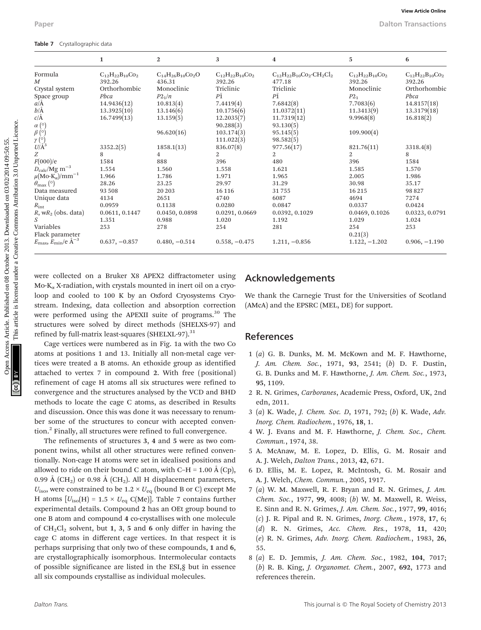|                                                                 | $\mathbf{1}$               | $\mathbf{2}$                                                                | 3                          | 4                                                            | 5                        | 6                          |
|-----------------------------------------------------------------|----------------------------|-----------------------------------------------------------------------------|----------------------------|--------------------------------------------------------------|--------------------------|----------------------------|
| Formula                                                         | $C_{12}H_{22}B_{10}C_{22}$ | $C_{14}H_{26}B_{10}Co_2O$                                                   | $C_{12}H_{22}B_{10}C_{22}$ | $C_{12}H_{22}B_{10}Co_2 \cdot CH_2Cl_2$                      | $C_{12}H_{22}B_{10}Co_2$ | $C_{12}H_{22}B_{10}C_{22}$ |
| M                                                               | 392.26                     | 436.31                                                                      | 392.26                     | 477.18                                                       | 392.26                   | 392.26                     |
| Crystal system                                                  | Orthorhombic               | Monoclinic                                                                  | Triclinic                  | Triclinic                                                    | Monoclinic               | Orthorhombic               |
| Space group                                                     | Pbca                       | P2 <sub>1</sub> /n                                                          | РĪ                         | РĪ                                                           | $P2_1$                   | Pbca                       |
| a/A                                                             | 14.9436(12)                | 10.813(4)                                                                   | 7.4419(4)                  | 7.6842(8)                                                    | 7.7083(6)                | 14.8157(18)                |
| $b/\AA$                                                         | 13.3925(10)                | 13.146(6)                                                                   | 10.1756(6)                 | 11.0372(11)                                                  | 11.3413(9)               | 13.3179(18)                |
| $c/\text{\AA}$                                                  | 16.7499(13)                | 13.159(5)                                                                   | 12.2035(7)                 | 11.7319(12)                                                  | 9.9968(8)                | 16.818(2)                  |
| $\alpha$ (°)                                                    |                            |                                                                             | 90.288(3)                  | 93.130(5)                                                    |                          |                            |
| $\beta$ (°)                                                     |                            | 96.620(16)                                                                  | 103.174(3)                 | 95.145(5)                                                    | 109.900(4)               |                            |
| $\gamma$ (°)<br>$U/A^3$                                         |                            |                                                                             | 111.022(3)                 | 98.582(5)                                                    |                          |                            |
|                                                                 | 3352.2(5)                  | 1858.1(13)                                                                  | 836.07(8)                  | 977.56(17)                                                   | 821.76(11)               | 3318.4(8)                  |
| Ζ                                                               | 8                          | 4                                                                           | 2                          | 2                                                            | 2                        | 8                          |
| F(000)/e                                                        | 1584                       | 888                                                                         | 396                        | 480                                                          | 396                      | 1584                       |
| $D_{\rm calc}/\rm Mg~m^{-3}$                                    | 1.554                      | 1.560                                                                       | 1.558                      | 1.621                                                        | 1.585                    | 1.570                      |
| $\mu\text{(Mo-K}_{\alpha})/\text{mm}^{-1}$                      | 1.966                      | 1.786                                                                       | 1.971                      | 1.965                                                        | 2.005                    | 1.986                      |
| $\theta_{\text{max}}$ (°)                                       | 28.26                      | 23.25                                                                       | 29.97                      | 31.29                                                        | 30.98                    | 35.17                      |
| Data measured                                                   | 93 508                     | 20 20 3                                                                     | 16 116                     | 31755                                                        | 16 215                   | 98 827                     |
| Unique data                                                     | 4134                       | 2651                                                                        | 4740                       | 6087                                                         | 4694                     | 7274                       |
| $R_{\rm int}$                                                   | 0.0959                     | 0.1138                                                                      | 0.0280                     | 0.0847                                                       | 0.0337                   | 0.0424                     |
| $R$ , w $R_2$ (obs. data)                                       | 0.0611, 0.1447             | 0.0450, 0.0898                                                              | 0.0291, 0.0669             | 0.0392, 0.1029                                               | 0.0469, 0.1026           | 0.0323, 0.0791             |
| S                                                               | 1.351                      | 0.988                                                                       | 1.020                      | 1.192                                                        | 1.029                    | 1.024                      |
| Variables                                                       | 253                        | 278                                                                         | 254                        | 281                                                          | 254                      | 253                        |
| Flack parameter                                                 |                            |                                                                             |                            |                                                              | 0.21(3)                  |                            |
| $E_{\text{max}}$ , $E_{\text{min}}$ /e $A^{-3}$                 | $0.637, -0.857$            | $0.480, -0.514$                                                             | $0.558, -0.475$            | $1.211, -0.856$                                              | $1.122, -1.202$          | $0.906, -1.190$            |
|                                                                 |                            | were collected on a Bruker X8 APEX2 diffractometer using                    |                            |                                                              |                          |                            |
|                                                                 |                            | $Mo-K_{\alpha} X$ -radiation, with crystals mounted in inert oil on a cryo- |                            | Acknowledgements                                             |                          |                            |
|                                                                 |                            | loop and cooled to 100 K by an Oxford Cryosystems Cryo-                     |                            | We thank the Carnegie Trust for the Universities of Scotland |                          |                            |
|                                                                 |                            | stream. Indexing, data collection and absorption correction                 |                            | (AMcA) and the EPSRC (MEL, DE) for support.                  |                          |                            |
|                                                                 |                            | were performed using the APEXII suite of programs. <sup>30</sup> The        |                            |                                                              |                          |                            |
|                                                                 |                            | structures were solved by direct methods (SHELXS-97) and                    |                            |                                                              |                          |                            |
| refined by full-matrix least-squares (SHELXL-97). <sup>31</sup> |                            |                                                                             |                            | <b>References</b>                                            |                          |                            |
|                                                                 |                            | Cage vertices were numbered as in Fig. 1a with the two Co                   |                            |                                                              |                          |                            |
|                                                                 |                            | atoms at positions 1 and 13. Initially all non-metal cage ver-              |                            | $1(a)$ G. B. Dunks, M. M. McKown and M. F. Hawthorne,        |                          |                            |
|                                                                 |                            |                                                                             |                            |                                                              |                          |                            |
|                                                                 |                            | tices were treated a B atoms. An ethoxide group as identified               |                            | J. Am. Chem. Soc., 1971, 93, 2541; (b) D. F. Dustin,         |                          |                            |
|                                                                 |                            | attached to vertex 7 in compound 2 With free (positional)                   |                            | G B Dunks and M E Hauthorne <i>J Am Chem Soc</i> 1073        |                          |                            |

Cage vertices were numbered as in Fig. 1a with the two Co atoms at positions 1 and 13. Initially all non-metal cage vertices were treated a B atoms. An ethoxide group as identified attached to vertex 7 in compound 2. With free (positional) refinement of cage H atoms all six structures were refined to convergence and the structures analysed by the VCD and BHD methods to locate the cage C atoms, as described in Results and discussion. Once this was done it was necessary to renumber some of the structures to concur with accepted convention.2 Finally, all structures were refined to full convergence.

The refinements of structures 3, 4 and 5 were as two component twins, whilst all other structures were refined conventionally. Non-cage H atoms were set in idealised positions and allowed to ride on their bound C atom, with C–H = 1.00 Å (Cp), 0.99 Å (CH<sub>2</sub>) or 0.98 Å (CH<sub>2</sub>). All H displacement parameters,  $U_{\text{iso}}$ , were constrained to be 1.2 ×  $U_{\text{eq}}$  (bound B or C) except Me H atoms  $[U_{\text{iso}}(H) = 1.5 \times U_{\text{eq}} C(\text{Me})]$ . Table 7 contains further experimental details. Compound 2 has an OEt group bound to one B atom and compound 4 co-crystallises with one molecule of  $CH_2Cl_2$  solvent, but 1, 3, 5 and 6 only differ in having the cage C atoms in different cage vertices. In that respect it is perhaps surprising that only two of these compounds, 1 and 6, are crystallographically isomorphous. Intermolecular contacts of possible significance are listed in the ESI,§ but in essence all six compounds crystallise as individual molecules.

#### Acknowledgements

#### References

- 1 (a) G. B. Dunks, M. M. McKown and M. F. Hawthorne, J. Am. Chem. Soc., 1971, 93, 2541; (b) D. F. Dustin, G. B. Dunks and M. F. Hawthorne, J. Am. Chem. Soc., 1973, 95, 1109.
- 2 R. N. Grimes, Carboranes, Academic Press, Oxford, UK, 2nd edn, 2011.
- 3 (a) K. Wade, J. Chem. Soc. D, 1971, 792; (b) K. Wade, Adv. Inorg. Chem. Radiochem., 1976, 18, 1.
- 4 W. J. Evans and M. F. Hawthorne, J. Chem. Soc., Chem. Commun., 1974, 38.
- 5 A. McAnaw, M. E. Lopez, D. Ellis, G. M. Rosair and A. J. Welch, Dalton Trans., 2013, 42, 671.
- 6 D. Ellis, M. E. Lopez, R. McIntosh, G. M. Rosair and A. J. Welch, Chem. Commun., 2005, 1917.
- 7 (a) W. M. Maxwell, R. F. Bryan and R. N. Grimes, J. Am. Chem. Soc., 1977, 99, 4008; (b) W. M. Maxwell, R. Weiss, E. Sinn and R. N. Grimes, J. Am. Chem. Soc., 1977, 99, 4016; (c) J. R. Pipal and R. N. Grimes, Inorg. Chem., 1978, 17, 6; (d) R. N. Grimes, Acc. Chem. Res., 1978, 11, 420; (e) R. N. Grimes, Adv. Inorg. Chem. Radiochem., 1983, 26, 55.
- 8 (a) E. D. Jemmis, J. Am. Chem. Soc., 1982, 104, 7017; (b) R. B. King, J. Organomet. Chem., 2007, 692, 1773 and references therein.